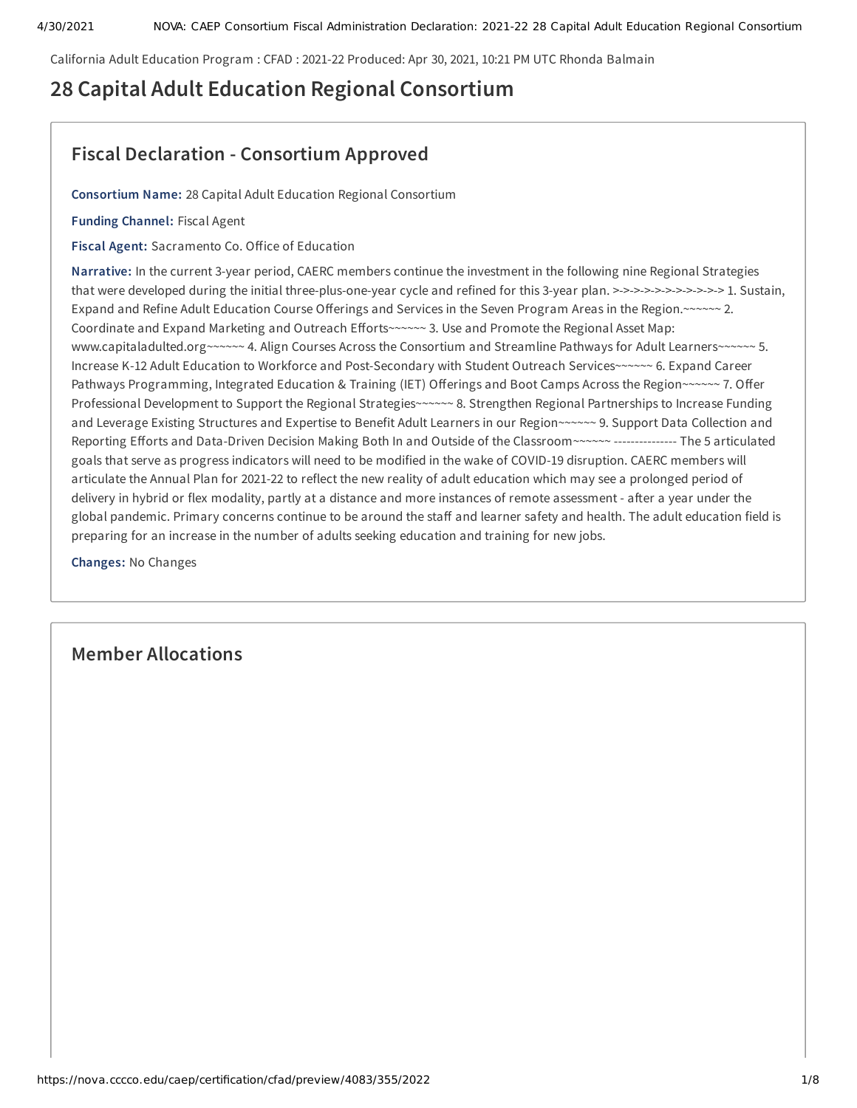California Adult Education Program : CFAD : 2021-22 Produced: Apr 30, 2021, 10:21 PM UTC Rhonda Balmain

# **28 Capital Adult Education Regional Consortium**

# **Fiscal Declaration - Consortium Approved**

**Consortium Name:** 28 Capital Adult Education Regional Consortium

**Funding Channel:** Fiscal Agent

**Fiscal Agent:** Sacramento Co. Office of Education

**Narrative:** In the current 3-year period, CAERC members continue the investment in the following nine Regional Strategies that were developed during the initial three-plus-one-year cycle and refined for this 3-year plan. >->->->->->->->->->-> 1. Sustain, Expand and Refine Adult Education Course Offerings and Services in the Seven Program Areas in the Region.~~~~~~ 2. Coordinate and Expand Marketing and Outreach Efforts~~~~~~ 3. Use and Promote the Regional Asset Map: www.capitaladulted.org~~~~~~ 4. Align Courses Across the Consortium and Streamline Pathways for Adult Learners~~~~~~ 5. Increase K-12 Adult Education to Workforce and Post-Secondary with Student Outreach Services~~~~~~ 6. Expand Career Pathways Programming, Integrated Education & Training (IET) Offerings and Boot Camps Across the Region~~~~~~ 7. Offer Professional Development to Support the Regional Strategies~~~~~~ 8. Strengthen Regional Partnerships to Increase Funding and Leverage Existing Structures and Expertise to Benefit Adult Learners in our Region~~~~~~ 9. Support Data Collection and Reporting Efforts and Data-Driven Decision Making Both In and Outside of the Classroom~~~~~~ --------------- The 5 articulated goals that serve as progress indicators will need to be modified in the wake of COVID-19 disruption. CAERC members will articulate the Annual Plan for 2021-22 to reflect the new reality of adult education which may see a prolonged period of delivery in hybrid or flex modality, partly at a distance and more instances of remote assessment - after a year under the global pandemic. Primary concerns continue to be around the staff and learner safety and health. The adult education field is preparing for an increase in the number of adults seeking education and training for new jobs.

**Changes:** No Changes

# **Member Allocations**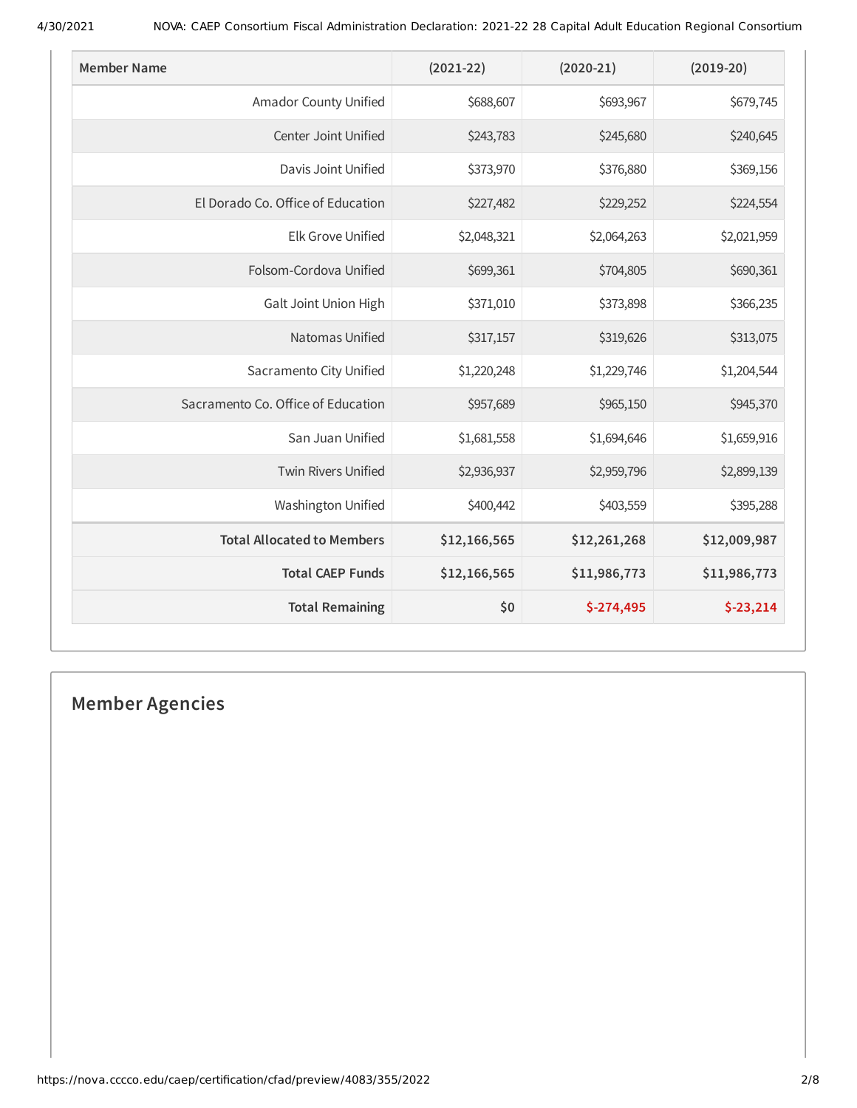| <b>Member Name</b>                 | $(2021 - 22)$ | $(2020-21)$  | $(2019-20)$  |
|------------------------------------|---------------|--------------|--------------|
| Amador County Unified              | \$688,607     | \$693,967    | \$679,745    |
| Center Joint Unified               | \$243,783     | \$245,680    | \$240,645    |
| Davis Joint Unified                | \$373,970     | \$376,880    | \$369,156    |
| El Dorado Co. Office of Education  | \$227,482     | \$229,252    | \$224,554    |
| <b>Elk Grove Unified</b>           | \$2,048,321   | \$2,064,263  | \$2,021,959  |
| Folsom-Cordova Unified             | \$699,361     | \$704,805    | \$690,361    |
| Galt Joint Union High              | \$371,010     | \$373,898    | \$366,235    |
| Natomas Unified                    | \$317,157     | \$319,626    | \$313,075    |
| Sacramento City Unified            | \$1,220,248   | \$1,229,746  | \$1,204,544  |
| Sacramento Co. Office of Education | \$957,689     | \$965,150    | \$945,370    |
| San Juan Unified                   | \$1,681,558   | \$1,694,646  | \$1,659,916  |
| <b>Twin Rivers Unified</b>         | \$2,936,937   | \$2,959,796  | \$2,899,139  |
| <b>Washington Unified</b>          | \$400,442     | \$403,559    | \$395,288    |
| <b>Total Allocated to Members</b>  | \$12,166,565  | \$12,261,268 | \$12,009,987 |
| <b>Total CAEP Funds</b>            | \$12,166,565  | \$11,986,773 | \$11,986,773 |
| <b>Total Remaining</b>             | \$0           | $$-274,495$  | $$-23,214$   |

# **Member Agencies**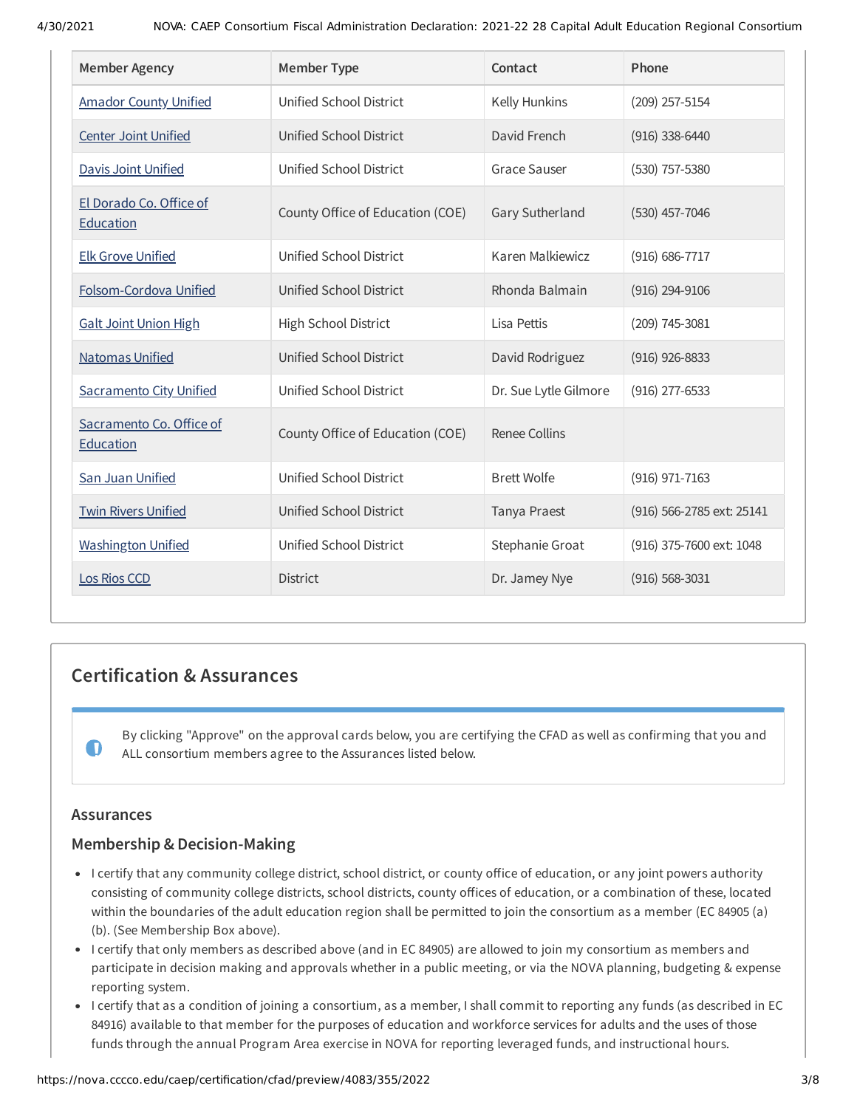| <b>Member Agency</b>                  | <b>Member Type</b>               | Contact               | Phone                     |
|---------------------------------------|----------------------------------|-----------------------|---------------------------|
| <b>Amador County Unified</b>          | Unified School District          | Kelly Hunkins         | (209) 257-5154            |
| <b>Center Joint Unified</b>           | Unified School District          | David French          | $(916)$ 338-6440          |
| Davis Joint Unified                   | Unified School District          | <b>Grace Sauser</b>   | (530) 757-5380            |
| El Dorado Co. Office of<br>Education  | County Office of Education (COE) | Gary Sutherland       | $(530)$ 457-7046          |
| <b>Elk Grove Unified</b>              | Unified School District          | Karen Malkiewicz      | (916) 686-7717            |
| Folsom-Cordova Unified                | Unified School District          | Rhonda Balmain        | $(916)$ 294-9106          |
| <b>Galt Joint Union High</b>          | High School District             | Lisa Pettis           | (209) 745-3081            |
| <b>Natomas Unified</b>                | <b>Unified School District</b>   | David Rodriguez       | $(916)$ 926-8833          |
| <b>Sacramento City Unified</b>        | Unified School District          | Dr. Sue Lytle Gilmore | $(916)$ 277-6533          |
| Sacramento Co. Office of<br>Education | County Office of Education (COE) | <b>Renee Collins</b>  |                           |
| San Juan Unified                      | Unified School District          | <b>Brett Wolfe</b>    | (916) 971-7163            |
| <b>Twin Rivers Unified</b>            | Unified School District          | Tanya Praest          | (916) 566-2785 ext: 25141 |
| <b>Washington Unified</b>             | Unified School District          | Stephanie Groat       | (916) 375-7600 ext: 1048  |
| Los Rios CCD                          | <b>District</b>                  | Dr. Jamey Nye         | $(916) 568 - 3031$        |

# **Certification & Assurances**

By clicking "Approve" on the approval cards below, you are certifying the CFAD as well as confirming that you and ALL consortium members agree to the Assurances listed below.

# **Assurances**

 $\bullet$ 

# **Membership & Decision-Making**

- I certify that any community college district, school district, or county office of education, or any joint powers authority consisting of community college districts, school districts, county offices of education, or a combination of these, located within the boundaries of the adult education region shall be permitted to join the consortium as a member (EC 84905 (a) (b). (See Membership Box above).
- I certify that only members as described above (and in EC 84905) are allowed to join my consortium as members and participate in decision making and approvals whether in a public meeting, or via the NOVA planning, budgeting & expense reporting system.
- I certify that as a condition of joining a consortium, as a member, I shall commit to reporting any funds (as described in EC 84916) available to that member for the purposes of education and workforce services for adults and the uses of those funds through the annual Program Area exercise in NOVA for reporting leveraged funds, and instructional hours.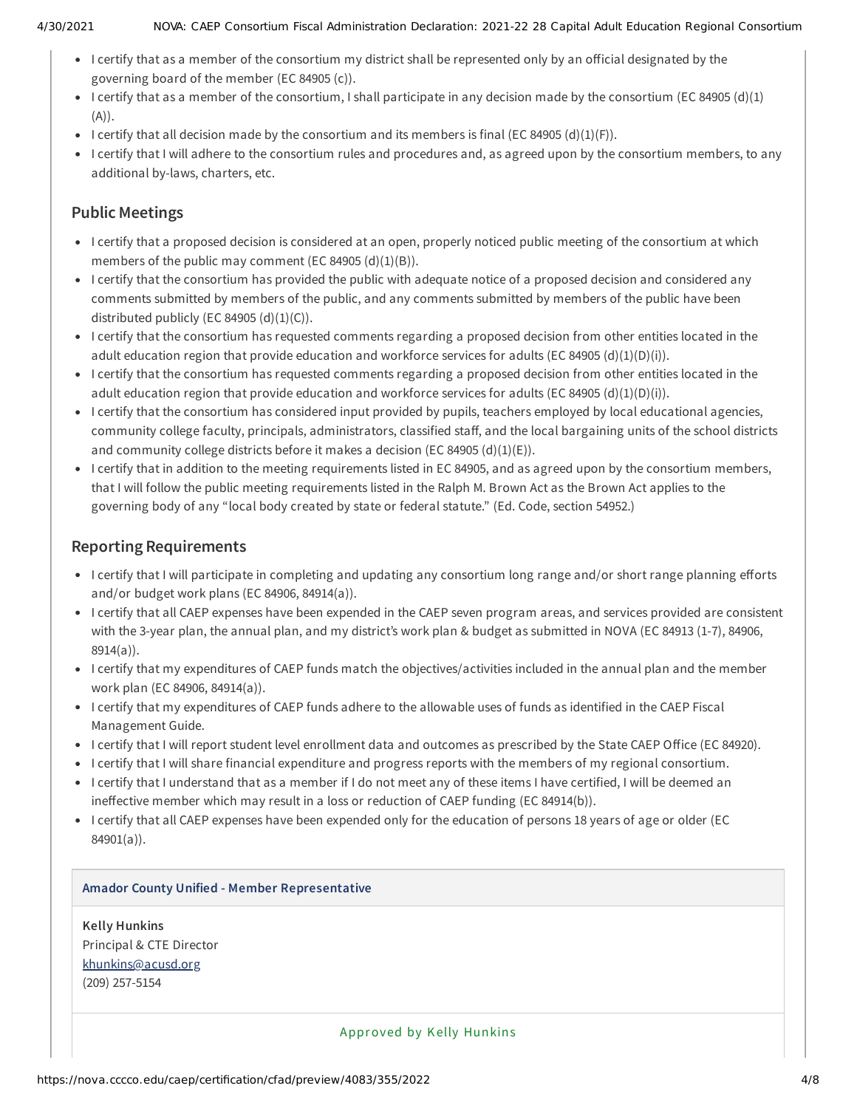- I certify that as a member of the consortium my district shall be represented only by an official designated by the governing board of the member (EC 84905 (c)).
- I certify that as a member of the consortium, I shall participate in any decision made by the consortium (EC 84905 (d)(1) (A)).
- I certify that all decision made by the consortium and its members is final (EC 84905 (d)(1)(F)).
- I certify that I will adhere to the consortium rules and procedures and, as agreed upon by the consortium members, to any additional by-laws, charters, etc.

# **Public Meetings**

- I certify that a proposed decision is considered at an open, properly noticed public meeting of the consortium at which members of the public may comment (EC 84905 (d)(1)(B)).
- I certify that the consortium has provided the public with adequate notice of a proposed decision and considered any comments submitted by members of the public, and any comments submitted by members of the public have been distributed publicly (EC 84905  $(d)(1)(C)$ ).
- I certify that the consortium has requested comments regarding a proposed decision from other entities located in the adult education region that provide education and workforce services for adults (EC 84905 (d)(1)(D)(i)).
- I certify that the consortium has requested comments regarding a proposed decision from other entities located in the adult education region that provide education and workforce services for adults (EC 84905 (d)(1)(D)(i)).
- I certify that the consortium has considered input provided by pupils, teachers employed by local educational agencies, community college faculty, principals, administrators, classified staff, and the local bargaining units of the school districts and community college districts before it makes a decision (EC 84905  $(d)(1)(E)$ ).
- I certify that in addition to the meeting requirements listed in EC 84905, and as agreed upon by the consortium members, that I will follow the public meeting requirements listed in the Ralph M. Brown Act as the Brown Act applies to the governing body of any "local body created by state or federal statute." (Ed. Code, section 54952.)

# **Reporting Requirements**

- I certify that I will participate in completing and updating any consortium long range and/or short range planning efforts and/or budget work plans (EC 84906, 84914(a)).
- I certify that all CAEP expenses have been expended in the CAEP seven program areas, and services provided are consistent with the 3-year plan, the annual plan, and my district's work plan & budget as submitted in NOVA (EC 84913 (1-7), 84906, 8914(a)).
- I certify that my expenditures of CAEP funds match the objectives/activities included in the annual plan and the member work plan (EC 84906, 84914(a)).
- I certify that my expenditures of CAEP funds adhere to the allowable uses of funds as identified in the CAEP Fiscal Management Guide.
- I certify that I will report student level enrollment data and outcomes as prescribed by the State CAEP Office (EC 84920).
- I certify that I will share financial expenditure and progress reports with the members of my regional consortium.
- I certify that I understand that as a member if I do not meet any of these items I have certified, I will be deemed an ineffective member which may result in a loss or reduction of CAEP funding (EC 84914(b)).
- I certify that all CAEP expenses have been expended only for the education of persons 18 years of age or older (EC 84901(a)).

### **Amador County Unified - Member Representative**

**Kelly Hunkins** Principal & CTE Director [khunkins@acusd.org](mailto:khunkins@acusd.org) (209) 257-5154

Approved by Kelly Hunkins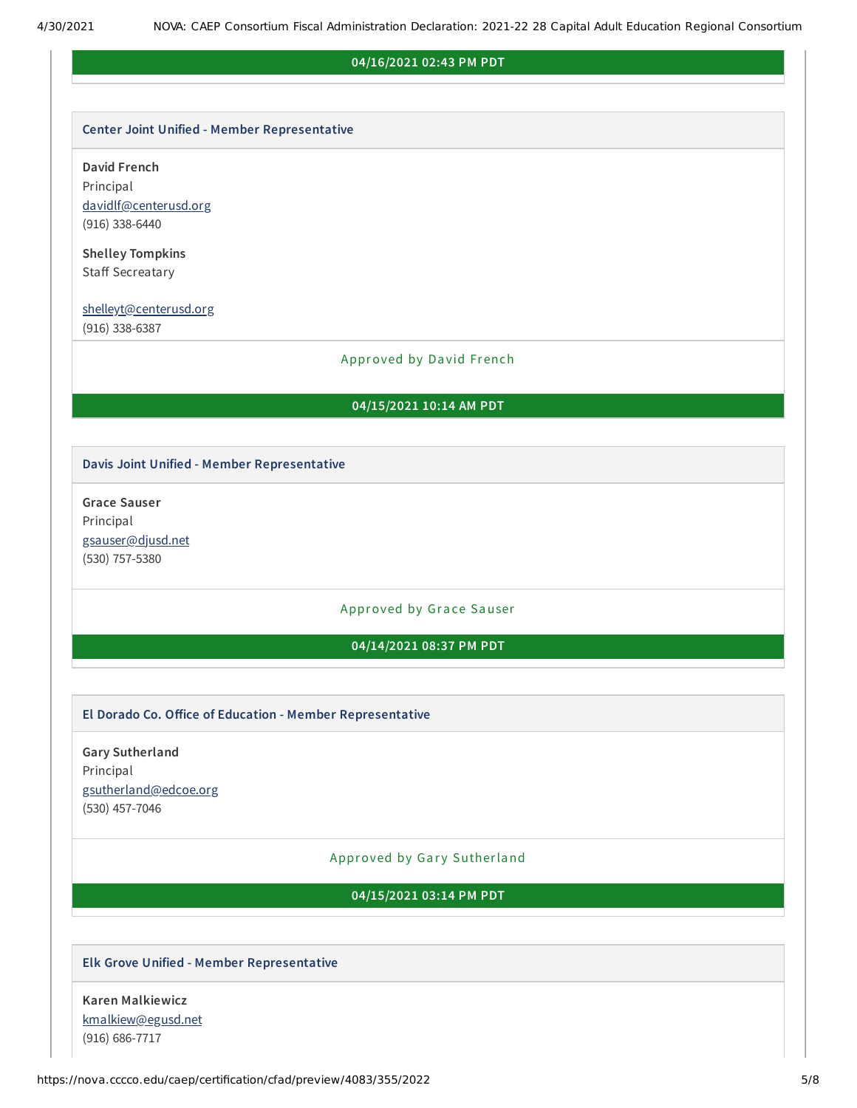#### **04/16/2021 02:43 PM PDT**

#### **Center Joint Unified - Member Representative**

**David French**

Principal [davidlf@centerusd.org](mailto:davidlf@centerusd.org) (916) 338-6440

**Shelley Tompkins** Staff Secreatary

#### [shelleyt@centerusd.org](mailto:shelleyt@centerusd.org)

(916) 338-6387

#### Approved by David French

#### **04/15/2021 10:14 AM PDT**

#### **Davis Joint Unified - Member Representative**

**Grace Sauser** Principal [gsauser@djusd.net](mailto:gsauser@djusd.net) (530) 757-5380

#### Approved by Grace Sauser

### **04/14/2021 08:37 PM PDT**

#### **El Dorado Co. Oice of Education - Member Representative**

**Gary Sutherland** Principal [gsutherland@edcoe.org](mailto:gsutherland@edcoe.org) (530) 457-7046

#### Approved by Gary Sutherland

#### **04/15/2021 03:14 PM PDT**

#### **Elk Grove Unified - Member Representative**

**Karen Malkiewicz** [kmalkiew@egusd.net](mailto:kmalkiew@egusd.net) (916) 686-7717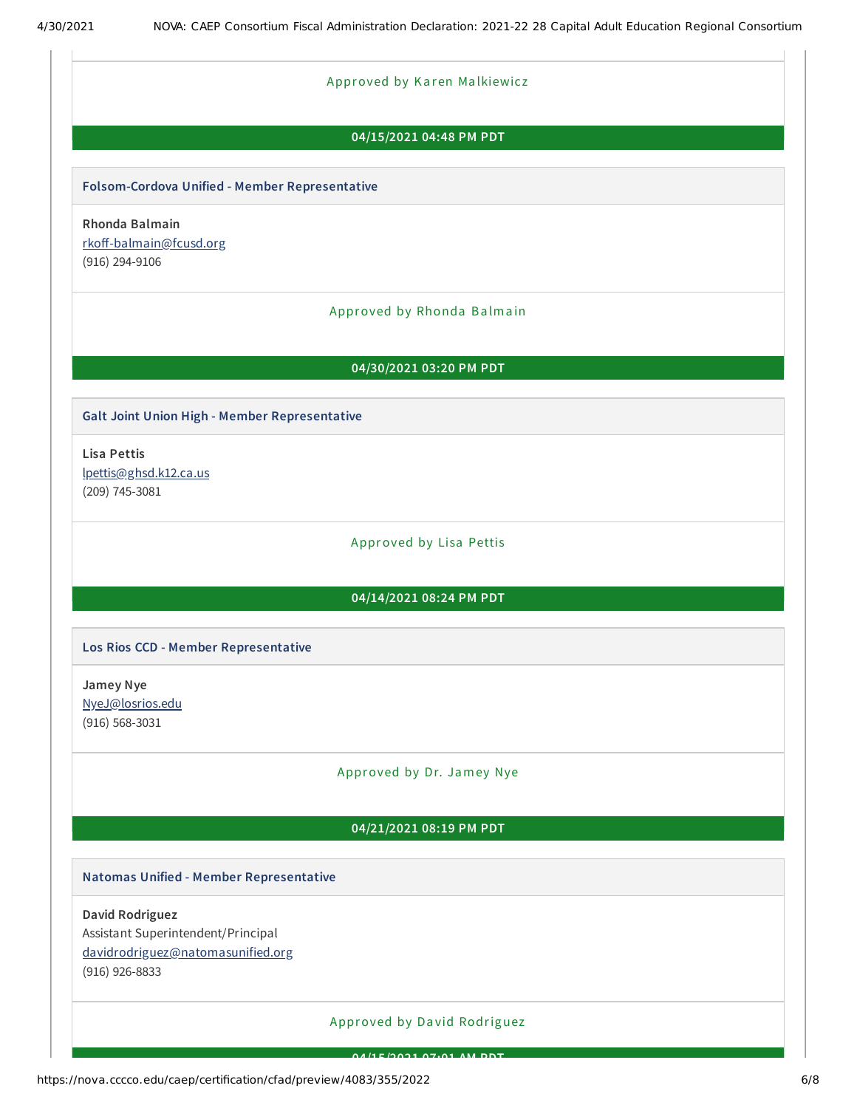#### Approved by Karen Malkiewicz

#### **04/15/2021 04:48 PM PDT**

#### **Folsom-Cordova Unified - Member Representative**

**Rhonda Balmain** rkoff-balmain@fcusd.org (916) 294-9106

#### Approved by Rhonda Balmain

#### **04/30/2021 03:20 PM PDT**

#### **Galt Joint Union High - Member Representative**

**Lisa Pettis** [lpettis@ghsd.k12.ca.us](mailto:lpettis@ghsd.k12.ca.us) (209) 745-3081

Approved by Lisa Pettis

### **04/14/2021 08:24 PM PDT**

#### **Los Rios CCD - Member Representative**

**Jamey Nye** [NyeJ@losrios.edu](mailto:NyeJ@losrios.edu) (916) 568-3031

#### Approved by Dr. Jamey Nye

### **04/21/2021 08:19 PM PDT**

#### **Natomas Unified - Member Representative**

**David Rodriguez**

Assistant Superintendent/Principal

[davidrodriguez@natomasunified.org](mailto:davidrodriguez@natomasunified.org)

(916) 926-8833

### Approved by Da vid Rodriguez

**04/15/2021 07:01 AM PDT**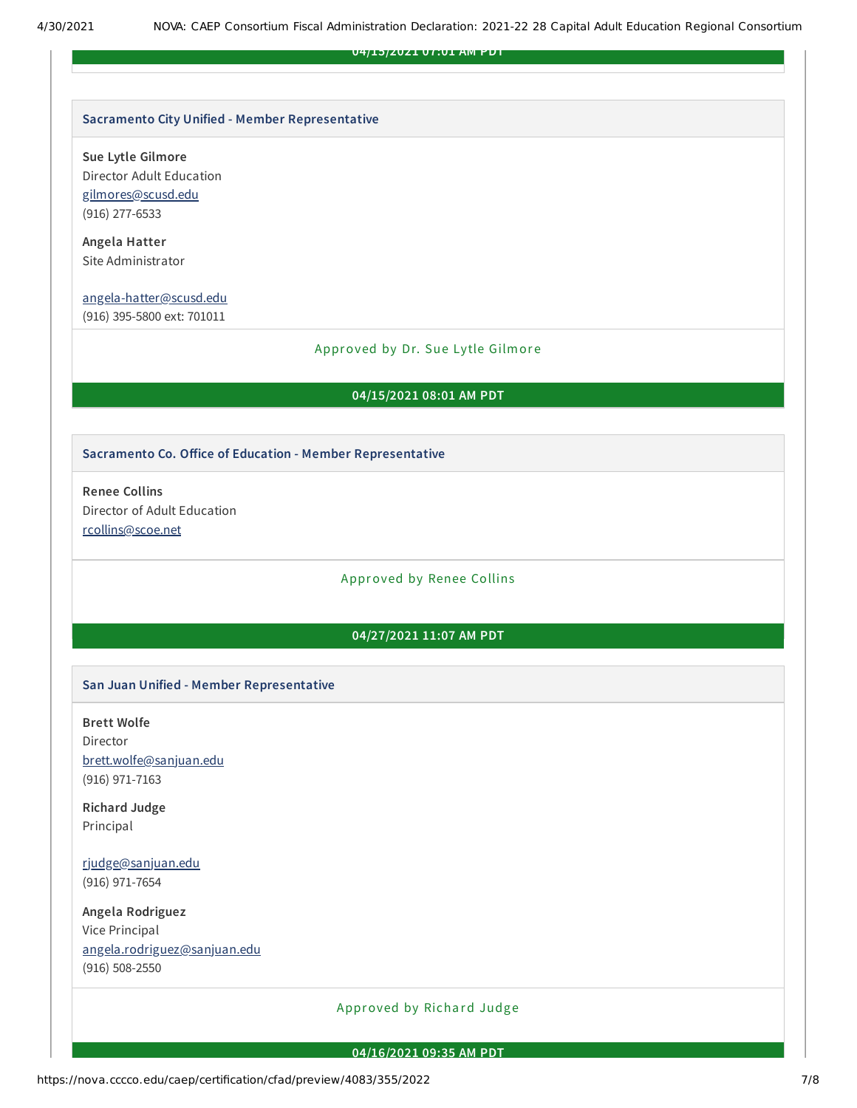**04/15/2021 07:01 AM PDT**

#### **Sacramento City Unified - Member Representative**

**Sue Lytle Gilmore**

Director Adult Education [gilmores@scusd.edu](mailto:gilmores@scusd.edu) (916) 277-6533

**Angela Hatter** Site Administrator

[angela-hatter@scusd.edu](mailto:angela-hatter@scusd.edu)

(916) 395-5800 ext: 701011

#### Approved by Dr. Sue Lytle Gilmore

#### **04/15/2021 08:01 AM PDT**

#### **Sacramento Co. Oice of Education - Member Representative**

**Renee Collins** Director of Adult Education [rcollins@scoe.net](mailto:rcollins@scoe.net)

#### Approved by Renee Collins

#### **04/27/2021 11:07 AM PDT**

#### **San Juan Unified - Member Representative**

**Brett Wolfe**

Director [brett.wolfe@sanjuan.edu](mailto:brett.wolfe@sanjuan.edu) (916) 971-7163

**Richard Judge** Principal

[rjudge@sanjuan.edu](mailto:rjudge@sanjuan.edu) (916) 971-7654

**Angela Rodriguez** Vice Principal [angela.rodriguez@sanjuan.edu](mailto:angela.rodriguez@sanjuan.edu) (916) 508-2550

### Approved by Richard Judge

#### **04/16/2021 09:35 AM PDT**